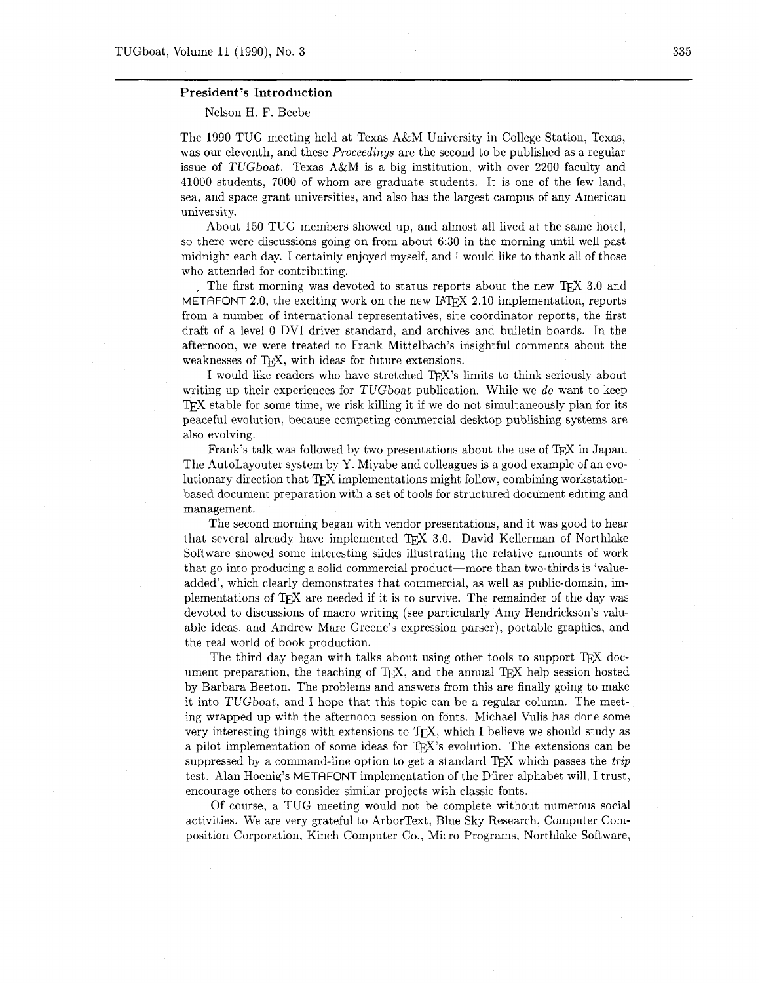## **President's Introduction**

Nelson H. F. Beebe

The 1990 TUG meeting held at Texas A&M University in College Station, Texas, was our eleventh, and these *Proceedings* are the second to be published as a regular issue of TUGboat. Texas A&M is a big institution, with over 2200 faculty and 41000 students, 7000 of whom are graduate students. It is one of the few land. sea, and space grant universities, and also has the largest campus of any American university.

About 150 TUG members showed up, and almost all lived at the same hotel, so there were discussions going on from about 6:30 in the morning until well past midnight each day. I certainly enjoyed myself, and I would like to thank all of those who attended for contributing.

The first morning was devoted to status reports about the new TEX 3.0 and METAFONT 2.0, the exciting work on the new IAT<sub>E</sub>X 2.10 implementation, reports from a number of international representatives, site coordinator reports, the first draft of a level 0 DVI driver standard, and archives and bulletin boards. In the afternoon. we were treated to Frank Mittelbach's insightful comments about the weaknesses of TFX, with ideas for future extensions.

I would like readers who have stretched TEX's limits to think seriously about writing up their experiences for TUGboat publication. While we *do* want to keep T<sub>F</sub>X stable for some time, we risk killing it if we do not simultaneously plan for its peaceful evolution. because competing commercial desktop publishing systems are also evolving.

Frank's talk was followed by two presentations about the use of TFX in Japan. The AutoLayouter system by Y. Miyabe and colleagues is a good example of an evolutionary direction that  $T_{\rm F}X$  implementations might follow, combining workstationbased document preparation with a set of tools for structured document editing and management.

The second morning began with vendor presentations, and it was good to hear that several already have implemented TEX 3.0. David Kellerman of Northlake Software showed some interesting slides illustrating the relative amounts of work that go into producing a solid commercial product-more than two-thirds is 'valueadded', which clearly demonstrates that commercial, as well as public-domain. implementations of T<sub>E</sub>X are needed if it is to survive. The remainder of the day was devoted to discussions of macro writing (see particularly Amy Hendrickson's valuable ideas, and Andrew Marc Greene's expression parser). portable graphics, and the real world of book production.

The third day began with talks about using other tools to support TFX document preparation, the teaching of  $T_F X$ , and the annual  $T_F X$  help session hosted by Barbara Beeton. The problems and answers from this are finally going to make it into TUGboat, and I hope that this topic can be a regular column. The meeting wrapped up with the afternoon session on fonts. Michael Vulis has done some very interesting things with extensions to T<sub>E</sub>X, which I believe we should study as a pilot implementation of some ideas for TFX's evolution. The extensions can be suppressed by a command-line option to get a standard TEX which passes the *trip*  test. Alan Hoenig's METAFONT implementation of the Diirer alphabet will, I trust, encourage others to consider similar projects with classic fonts.

Of course, a TUG meeting would not be complete without numerous social activities. We are very grateful to ArborText, Blue Sky Research, Computer Composition Corporation, Kinch Computer Co., Micro Programs. Northlake Software,